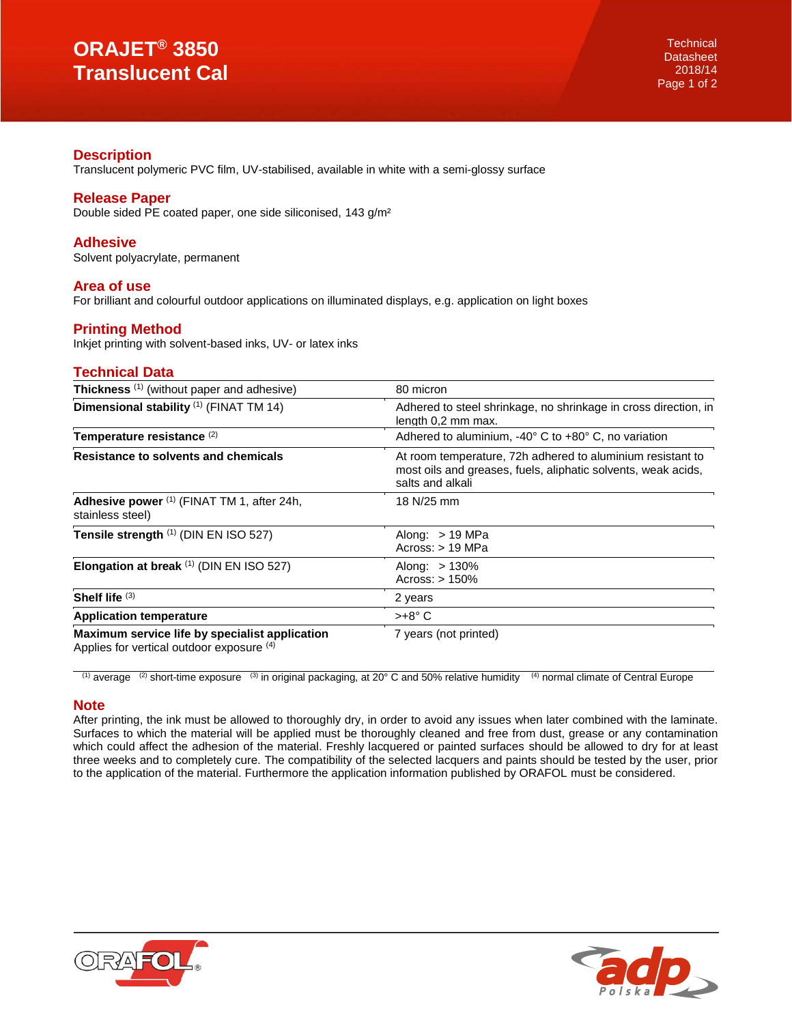# **ORAJET® 3850 Translucent Cal**

## **Description**

Translucent polymeric PVC film, UV-stabilised, available in white with a semi-glossy surface

## **Release Paper**

Double sided PE coated paper, one side siliconised, 143 g/m²

#### **Adhesive**

Solvent polyacrylate, permanent

#### **Area of use**

For brilliant and colourful outdoor applications on illuminated displays, e.g. application on light boxes

# **Printing Method**

Inkjet printing with solvent-based inks, UV- or latex inks

## **Technical Data**

| Thickness <sup>(1)</sup> (without paper and adhesive)                                       | 80 micron                                                                                                                                       |
|---------------------------------------------------------------------------------------------|-------------------------------------------------------------------------------------------------------------------------------------------------|
| Dimensional stability (1) (FINAT TM 14)                                                     | Adhered to steel shrinkage, no shrinkage in cross direction, in<br>length 0,2 mm max.                                                           |
| Temperature resistance <sup>(2)</sup>                                                       | Adhered to aluminium, $-40^{\circ}$ C to $+80^{\circ}$ C, no variation                                                                          |
| Resistance to solvents and chemicals                                                        | At room temperature, 72h adhered to aluminium resistant to<br>most oils and greases, fuels, aliphatic solvents, weak acids,<br>salts and alkali |
| Adhesive power (1) (FINAT TM 1, after 24h,<br>stainless steel)                              | 18 N/25 mm                                                                                                                                      |
| Tensile strength (1) (DIN EN ISO 527)                                                       | Along: $>$ 19 MPa<br>Across: > 19 MPa                                                                                                           |
| Elongation at break (1) (DIN EN ISO 527)                                                    | Along: $>130\%$<br>Across: $> 150\%$                                                                                                            |
| Shelf life $(3)$                                                                            | 2 years                                                                                                                                         |
| <b>Application temperature</b>                                                              | $>+8^{\circ}$ C                                                                                                                                 |
| Maximum service life by specialist application<br>Applies for vertical outdoor exposure (4) | 7 years (not printed)                                                                                                                           |

<sup>(1)</sup> average <sup>(2)</sup> short-time exposure <sup>(3)</sup> in original packaging, at 20° C and 50% relative humidity  $(4)$  normal climate of Central Europe

#### **Note**

After printing, the ink must be allowed to thoroughly dry, in order to avoid any issues when later combined with the laminate. Surfaces to which the material will be applied must be thoroughly cleaned and free from dust, grease or any contamination which could affect the adhesion of the material. Freshly lacquered or painted surfaces should be allowed to dry for at least three weeks and to completely cure. The compatibility of the selected lacquers and paints should be tested by the user, prior to the application of the material. Furthermore the application information published by ORAFOL must be considered.